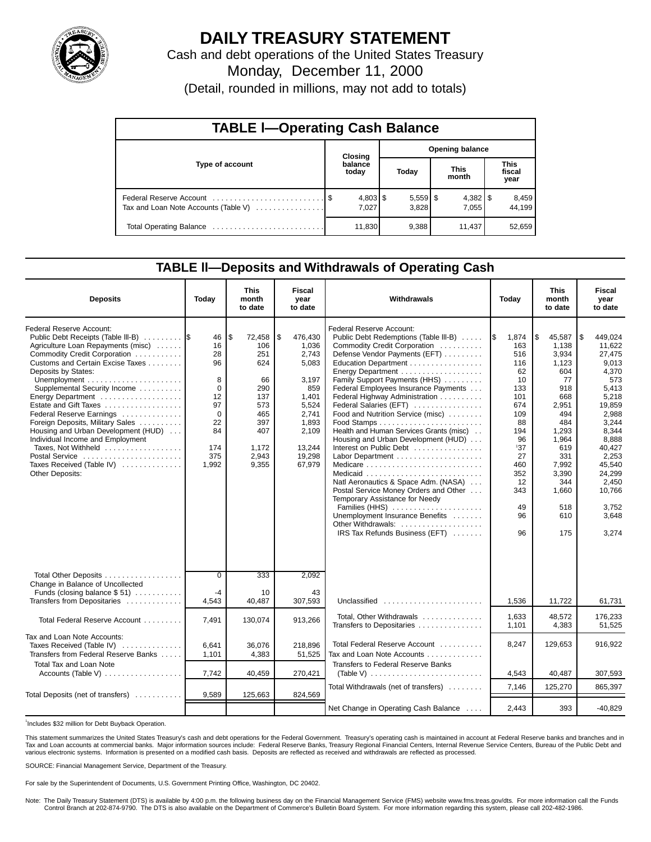

# **DAILY TREASURY STATEMENT**

Cash and debt operations of the United States Treasury Monday, December 11, 2000

(Detail, rounded in millions, may not add to totals)

| <b>TABLE I-Operating Cash Balance</b> |  |                  |                        |                     |                      |        |                               |                 |  |
|---------------------------------------|--|------------------|------------------------|---------------------|----------------------|--------|-------------------------------|-----------------|--|
|                                       |  | Closing          | <b>Opening balance</b> |                     |                      |        |                               |                 |  |
| Type of account                       |  | balance<br>today |                        | Today               | <b>This</b><br>month |        | <b>This</b><br>fiscal<br>year |                 |  |
| Tax and Loan Note Accounts (Table V)  |  | 7.027            |                        | $5,559$ \$<br>3,828 |                      | 7.055  |                               | 8,459<br>44,199 |  |
|                                       |  | 11,830           |                        | 9,388               |                      | 11.437 |                               | 52,659          |  |

### **TABLE ll—Deposits and Withdrawals of Operating Cash**

| <b>Deposits</b>                                                                                                                                                                                                                                                                                                                                                                                                                                                                                            | Today                                                                                     | <b>This</b><br>month<br>to date                                                                              | <b>Fiscal</b><br>year<br>to date                                                                                                    | Withdrawals                                                                                                                                                                                                                                                                                                                                                                                                                                                                                                                                                                                                                                                                                                                                                                         | Today                                                                                                                                                  | This<br>month<br>to date                                                                                                                                                         | Fiscal<br>year<br>to date                                                                                                                                                                                        |
|------------------------------------------------------------------------------------------------------------------------------------------------------------------------------------------------------------------------------------------------------------------------------------------------------------------------------------------------------------------------------------------------------------------------------------------------------------------------------------------------------------|-------------------------------------------------------------------------------------------|--------------------------------------------------------------------------------------------------------------|-------------------------------------------------------------------------------------------------------------------------------------|-------------------------------------------------------------------------------------------------------------------------------------------------------------------------------------------------------------------------------------------------------------------------------------------------------------------------------------------------------------------------------------------------------------------------------------------------------------------------------------------------------------------------------------------------------------------------------------------------------------------------------------------------------------------------------------------------------------------------------------------------------------------------------------|--------------------------------------------------------------------------------------------------------------------------------------------------------|----------------------------------------------------------------------------------------------------------------------------------------------------------------------------------|------------------------------------------------------------------------------------------------------------------------------------------------------------------------------------------------------------------|
| <b>Federal Reserve Account:</b><br>Public Debt Receipts (Table III-B)<br>Agriculture Loan Repayments (misc)<br>Commodity Credit Corporation<br>Customs and Certain Excise Taxes<br>Deposits by States:<br>Supplemental Security Income<br>Estate and Gift Taxes<br>Federal Reserve Earnings<br>Foreign Deposits, Military Sales<br>Housing and Urban Development (HUD)<br>Individual Income and Employment<br>Taxes, Not Withheld<br>Postal Service<br>Taxes Received (Table IV)<br><b>Other Deposits:</b> | 46<br>16<br>28<br>96<br>8<br>0<br>12<br>97<br>$\Omega$<br>22<br>84<br>174<br>375<br>1.992 | \$<br>72,458<br>106<br>251<br>624<br>66<br>290<br>137<br>573<br>465<br>397<br>407<br>1,172<br>2,943<br>9.355 | \$<br>476,430<br>1,036<br>2,743<br>5,083<br>3.197<br>859<br>1,401<br>5,524<br>2.741<br>1.893<br>2.109<br>13.244<br>19,298<br>67,979 | <b>Federal Reserve Account:</b><br>Public Debt Redemptions (Table III-B)<br>Commodity Credit Corporation<br>Defense Vendor Payments (EFT)<br>Education Department<br>Energy Department<br>Family Support Payments (HHS)<br>Federal Employees Insurance Payments<br>Federal Highway Administration<br>Federal Salaries (EFT)<br>Food and Nutrition Service (misc)<br>Health and Human Services Grants (misc)<br>Housing and Urban Development (HUD)<br>Interest on Public Debt<br>Medicare $\ldots \ldots \ldots \ldots \ldots \ldots \ldots \ldots$<br>Natl Aeronautics & Space Adm. (NASA)<br>Postal Service Money Orders and Other<br>Temporary Assistance for Needy<br>Families (HHS)<br>Unemployment Insurance Benefits<br>Other Withdrawals:<br>IRS Tax Refunds Business (EFT) | 1\$<br>1,874<br>163<br>516<br>116<br>62<br>10<br>133<br>101<br>674<br>109<br>88<br>194<br>96<br>137<br>27<br>460<br>352<br>12<br>343<br>49<br>96<br>96 | \$<br>45,587<br>1.138<br>3,934<br>1.123<br>604<br>77<br>918<br>668<br>2,951<br>494<br>484<br>1,293<br>1.964<br>619<br>331<br>7.992<br>3,390<br>344<br>1,660<br>518<br>610<br>175 | 449,024<br>1\$<br>11,622<br>27,475<br>9.013<br>4.370<br>573<br>5,413<br>5,218<br>19,859<br>2,988<br>3.244<br>8.344<br>8.888<br>40.427<br>2,253<br>45.540<br>24,299<br>2,450<br>10,766<br>3,752<br>3,648<br>3,274 |
| Total Other Deposits<br>Change in Balance of Uncollected<br>Funds (closing balance $$51)$                                                                                                                                                                                                                                                                                                                                                                                                                  | $\overline{0}$<br>$-4$                                                                    | 333<br>10                                                                                                    | 2,092<br>43                                                                                                                         |                                                                                                                                                                                                                                                                                                                                                                                                                                                                                                                                                                                                                                                                                                                                                                                     |                                                                                                                                                        |                                                                                                                                                                                  |                                                                                                                                                                                                                  |
| Transfers from Depositaries                                                                                                                                                                                                                                                                                                                                                                                                                                                                                | 4,543                                                                                     | 40,487                                                                                                       | 307,593                                                                                                                             | Unclassified                                                                                                                                                                                                                                                                                                                                                                                                                                                                                                                                                                                                                                                                                                                                                                        | 1,536                                                                                                                                                  | 11,722                                                                                                                                                                           | 61,731                                                                                                                                                                                                           |
| Total Federal Reserve Account                                                                                                                                                                                                                                                                                                                                                                                                                                                                              | 7,491                                                                                     | 130,074                                                                                                      | 913,266                                                                                                                             | Total, Other Withdrawals<br>Transfers to Depositaries                                                                                                                                                                                                                                                                                                                                                                                                                                                                                                                                                                                                                                                                                                                               | 1.633<br>1,101                                                                                                                                         | 48.572<br>4,383                                                                                                                                                                  | 176.233<br>51,525                                                                                                                                                                                                |
| Tax and Loan Note Accounts:<br>Taxes Received (Table IV)<br>Transfers from Federal Reserve Banks                                                                                                                                                                                                                                                                                                                                                                                                           | 6,641<br>1,101                                                                            | 36,076<br>4,383                                                                                              | 218,896<br>51,525                                                                                                                   | Total Federal Reserve Account<br>Tax and Loan Note Accounts                                                                                                                                                                                                                                                                                                                                                                                                                                                                                                                                                                                                                                                                                                                         | 8,247                                                                                                                                                  | 129,653                                                                                                                                                                          | 916,922                                                                                                                                                                                                          |
| <b>Total Tax and Loan Note</b><br>Accounts (Table V)                                                                                                                                                                                                                                                                                                                                                                                                                                                       | 7,742                                                                                     | 40,459                                                                                                       | 270,421                                                                                                                             | Transfers to Federal Reserve Banks                                                                                                                                                                                                                                                                                                                                                                                                                                                                                                                                                                                                                                                                                                                                                  | 4,543                                                                                                                                                  | 40,487                                                                                                                                                                           | 307,593                                                                                                                                                                                                          |
| Total Deposits (net of transfers)                                                                                                                                                                                                                                                                                                                                                                                                                                                                          | 9,589                                                                                     | 125,663                                                                                                      | 824,569                                                                                                                             | Total Withdrawals (net of transfers)                                                                                                                                                                                                                                                                                                                                                                                                                                                                                                                                                                                                                                                                                                                                                | 7,146                                                                                                                                                  | 125,270                                                                                                                                                                          | 865.397                                                                                                                                                                                                          |
|                                                                                                                                                                                                                                                                                                                                                                                                                                                                                                            |                                                                                           |                                                                                                              |                                                                                                                                     | Net Change in Operating Cash Balance                                                                                                                                                                                                                                                                                                                                                                                                                                                                                                                                                                                                                                                                                                                                                | 2.443                                                                                                                                                  | 393                                                                                                                                                                              | $-40.829$                                                                                                                                                                                                        |

<sup>1</sup>Includes \$32 million for Debt Buyback Operation.

This statement summarizes the United States Treasury's cash and debt operations for the Federal Government. Treasury's operating cash is maintained in account at Federal Reserve banks and branches and in Tax and Loan accounts at commercial banks. Major information sources include: Federal Reserve Banks, Treasury Regional Financial Centers, Internal Revenue Service Centers, Bureau of the Public Debt and<br>various electronic s

SOURCE: Financial Management Service, Department of the Treasury.

For sale by the Superintendent of Documents, U.S. Government Printing Office, Washington, DC 20402.

Note: The Daily Treasury Statement (DTS) is available by 4:00 p.m. the following business day on the Financial Management Service (FMS) website www.fms.treas.gov/dts. For more information call the Funds Control Branch at 202-874-9790. The DTS is also available on the Department of Commerce's Bulletin Board System. For more information regarding this system, please call 202-482-1986.